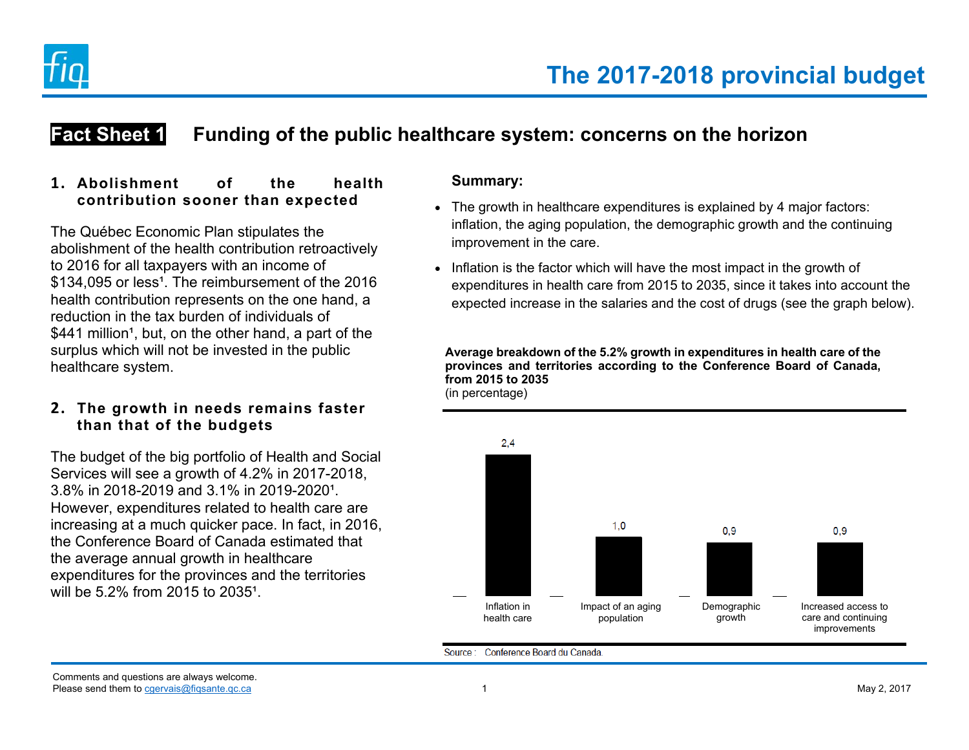

# **Fact Sheet 1** Funding of the public healthcare system: concerns on the horizon

## **1. Abolishment of the health contribution sooner than expected**

The Québec Economic Plan stipulates the abolishment of the health contribution retroactively to 2016 for all taxpayers with an income of \$134,095 or less<sup>1</sup>. The reimbursement of the 2016 health contribution represents on the one hand, a reduction in the tax burden of individuals of \$441 million<sup>1</sup>, but, on the other hand, a part of the surplus which will not be invested in the public healthcare system.

## **2. The growth in needs remains faster than that of the budgets**

The budget of the big portfolio of Health and Social Services will see a growth of 4.2% in 2017-2018,  $3.8\%$  in 2018-2019 and  $3.1\%$  in 2019-2020<sup>1</sup>. However, expenditures related to health care are increasing at a much quicker pace. In fact, in 2016, the Conference Board of Canada estimated that the average annual growth in healthcare expenditures for the provinces and the territories will be  $5.2\%$  from 2015 to 2035<sup>1</sup>.

## **Summary:**

- The growth in healthcare expenditures is explained by 4 major factors: inflation, the aging population, the demographic growth and the continuing improvement in the care.
- Inflation is the factor which will have the most impact in the growth of expenditures in health care from 2015 to 2035, since it takes into account the expected increase in the salaries and the cost of drugs (see the graph below).

**Average breakdown of the 5.2% growth in expenditures in health care of the provinces and territories according to the Conference Board of Canada, from 2015 to 2035** (in percentage)



Source: Conference Board du Canada